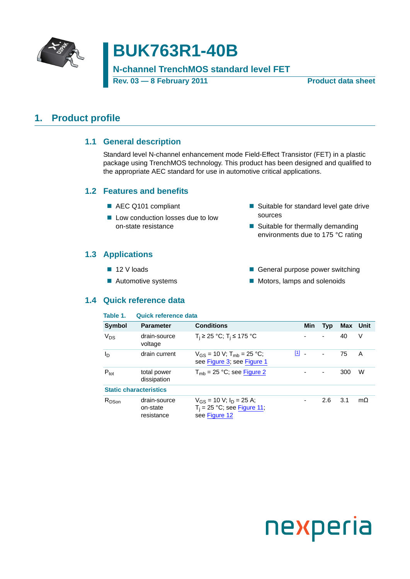

# **BUK763R1-40B**

### **N-channel TrenchMOS standard level FET**

**Rev. 03 — 8 February 2011 Product data sheet**

### <span id="page-0-1"></span><span id="page-0-0"></span>**1. Product profile**

#### **1.1 General description**

Standard level N-channel enhancement mode Field-Effect Transistor (FET) in a plastic package using TrenchMOS technology. This product has been designed and qualified to the appropriate AEC standard for use in automotive critical applications.

#### <span id="page-0-2"></span>**1.2 Features and benefits**

- AEC Q101 compliant
- Low conduction losses due to low on-state resistance
- Suitable for standard level gate drive sources
- Suitable for thermally demanding environments due to 175 °C rating

### <span id="page-0-3"></span>**1.3 Applications**

- 12 V loads
- Automotive systems

#### General purpose power switching

**Motors, lamps and solenoids** 

### <span id="page-0-4"></span>**1.4 Quick reference data**

| Table 1.         | <b>Quick reference data</b>            |                                                                                  |         |     |                          |          |           |
|------------------|----------------------------------------|----------------------------------------------------------------------------------|---------|-----|--------------------------|----------|-----------|
| Symbol           | <b>Parameter</b>                       | <b>Conditions</b>                                                                |         | Min | <b>Typ</b>               | Max Unit |           |
| $V_{DS}$         | drain-source<br>voltage                | $T_i$ ≥ 25 °C; T <sub>i</sub> ≤ 175 °C                                           |         |     | $\overline{\phantom{a}}$ | 40       | V         |
| $I_{\text{D}}$   | drain current                          | $V_{GS}$ = 10 V; T <sub>mb</sub> = 25 °C;<br>see Figure 3; see Figure 1          | $[1]$ . |     | $\blacksquare$           | 75       | A         |
| $P_{\text{tot}}$ | total power<br>dissipation             | $T_{\rm mb}$ = 25 °C; see Figure 2                                               |         |     | $\overline{\phantom{a}}$ | 300      | W         |
|                  | <b>Static characteristics</b>          |                                                                                  |         |     |                          |          |           |
| $R_{DSon}$       | drain-source<br>on-state<br>resistance | $V_{GS}$ = 10 V; $I_D$ = 25 A;<br>$T_i = 25$ °C; see Figure 11;<br>see Figure 12 |         |     | 2.6                      | 3.1      | $m\Omega$ |

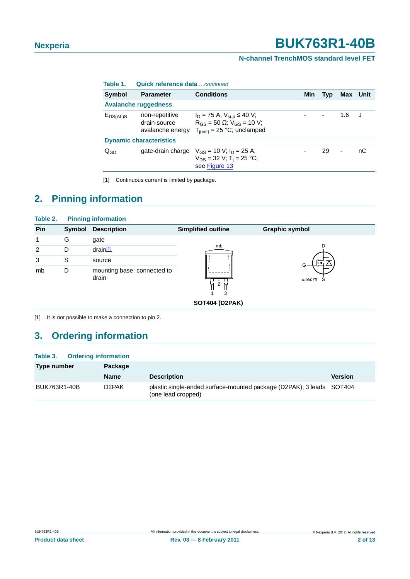#### **N-channel TrenchMOS standard level FET**

| Table 1.                   | Quick reference data  continued                    |                                                                                                                           |     |                  |                |          |
|----------------------------|----------------------------------------------------|---------------------------------------------------------------------------------------------------------------------------|-----|------------------|----------------|----------|
| Symbol                     | <b>Parameter</b>                                   | <b>Conditions</b>                                                                                                         | Min | Typ              |                | Max Unit |
|                            | <b>Avalanche ruggedness</b>                        |                                                                                                                           |     |                  |                |          |
| $E_{DS(AL)S}$              | non-repetitive<br>drain-source<br>avalanche energy | $I_D = 75$ A; $V_{\text{sun}} \le 40$ V;<br>$R_{GS}$ = 50 $\Omega$ ; $V_{GS}$ = 10 V;<br>$T_{i(init)} = 25$ °C; unclamped |     | $\sim$ 100 $\pm$ | 1.6            |          |
|                            | <b>Dynamic characteristics</b>                     |                                                                                                                           |     |                  |                |          |
| $\mathsf{Q}_{\mathsf{GD}}$ | gate-drain charge                                  | $V_{GS}$ = 10 V; $I_D$ = 25 A;<br>$V_{DS}$ = 32 V; T <sub>i</sub> = 25 °C;<br>see Figure 13                               |     | 29               | $\blacksquare$ | nС       |

<span id="page-1-0"></span>[1] Continuous current is limited by package.

## <span id="page-1-2"></span>**2. Pinning information**

| Table 2. |        | <b>Pinning information</b>           |                           |                       |
|----------|--------|--------------------------------------|---------------------------|-----------------------|
| Pin      | Symbol | <b>Description</b>                   | <b>Simplified outline</b> | <b>Graphic symbol</b> |
| 1        | G      | gate                                 |                           |                       |
| 2        | D      | drain <sup>[1]</sup>                 | mb                        |                       |
| 3        | S      | source                               |                           |                       |
| mb       | D      | mounting base; connected to<br>drain | 2<br>3                    | mbb076<br>S           |
|          |        |                                      | <b>SOT404 (D2PAK)</b>     |                       |

<span id="page-1-1"></span>[1] It is not possible to make a connection to pin 2.

### <span id="page-1-3"></span>**3. Ordering information**

#### **Table 3. Ordering information**

| Type number  | Package            |                                                                                            |                |
|--------------|--------------------|--------------------------------------------------------------------------------------------|----------------|
|              | <b>Name</b>        | <b>Description</b>                                                                         | <b>Version</b> |
| BUK763R1-40B | D <sub>2</sub> PAK | plastic single-ended surface-mounted package (D2PAK); 3 leads SOT404<br>(one lead cropped) |                |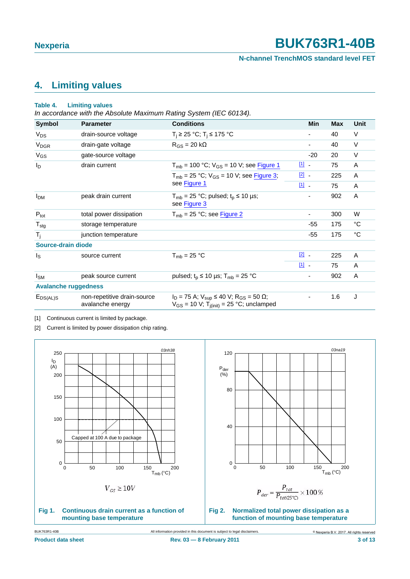**N-channel TrenchMOS standard level FET**

### <span id="page-2-4"></span>**4. Limiting values**

#### **Table 4. Limiting values**

*In accordance with the Absolute Maximum Rating System (IEC 60134).*

| <b>Symbol</b>               | <b>Parameter</b>                                | <b>Conditions</b>                                                                                                             |               | <b>Min</b> | <b>Max</b> | Unit |
|-----------------------------|-------------------------------------------------|-------------------------------------------------------------------------------------------------------------------------------|---------------|------------|------------|------|
| $V_{DS}$                    | drain-source voltage                            | $T_i$ ≥ 25 °C; T <sub>i</sub> ≤ 175 °C                                                                                        |               |            | 40         | V    |
| $V_{DGR}$                   | drain-gate voltage                              | $R_{GS}$ = 20 k $\Omega$                                                                                                      |               | ۰          | 40         | V    |
| $V_{GS}$                    | gate-source voltage                             |                                                                                                                               |               | $-20$      | 20         | V    |
| $I_{\text{D}}$              | drain current                                   | $T_{mb}$ = 100 °C; $V_{GS}$ = 10 V; see Figure 1                                                                              | 凹.            |            | 75         | A    |
|                             |                                                 | $T_{mb}$ = 25 °C; $V_{GS}$ = 10 V; see Figure 3;                                                                              | $\boxed{2}$   |            | 225        | A    |
|                             |                                                 | see Figure 1                                                                                                                  | 凹-            |            | 75         | A    |
| <b>I</b> <sub>DM</sub>      | peak drain current                              | $T_{mb}$ = 25 °C; pulsed; $t_p \le 10$ µs;<br>see Figure 3                                                                    |               | ٠          | 902        | Α    |
| $P_{\text{tot}}$            | total power dissipation                         | $T_{mb}$ = 25 °C; see Figure 2                                                                                                |               | ۰          | 300        | W    |
| $T_{\text{stg}}$            | storage temperature                             |                                                                                                                               |               | -55        | 175        | °C   |
| $T_{\rm i}$                 | junction temperature                            |                                                                                                                               |               | -55        | 175        | °C   |
| Source-drain diode          |                                                 |                                                                                                                               |               |            |            |      |
| l <sub>S</sub>              | source current                                  | $T_{\rm mb}$ = 25 °C                                                                                                          | $\boxed{2}$ - |            | 225        | A    |
|                             |                                                 |                                                                                                                               | $\boxed{1}$   |            | 75         | A    |
| $I_{SM}$                    | peak source current                             | pulsed; $t_p \le 10 \mu s$ ; $T_{mb} = 25 \text{ °C}$                                                                         |               |            | 902        | A    |
| <b>Avalanche ruggedness</b> |                                                 |                                                                                                                               |               |            |            |      |
| $E_{DS(AL)S}$               | non-repetitive drain-source<br>avalanche energy | $I_D = 75$ A; $V_{sup} \le 40$ V; R <sub>GS</sub> = 50 $\Omega$ ;<br>$V_{GS}$ = 10 V; T <sub>i(init)</sub> = 25 °C; unclamped |               | ۰          | 1.6        | J    |

<span id="page-2-2"></span>[1] Continuous current is limited by package.

<span id="page-2-3"></span>[2] Current is limited by power dissipation chip rating.

<span id="page-2-1"></span><span id="page-2-0"></span>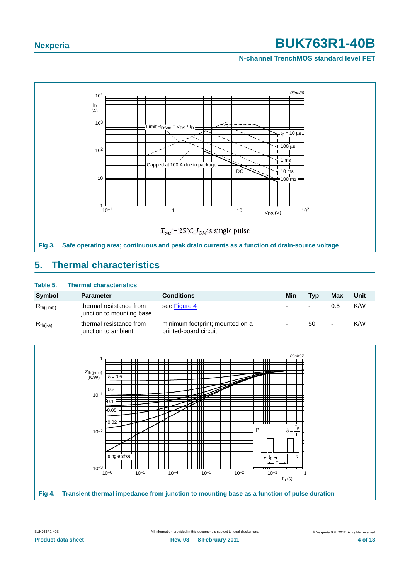#### **N-channel TrenchMOS standard level FET**



### <span id="page-3-2"></span><span id="page-3-0"></span>**5. Thermal characteristics**

#### **Table 5. Thermal characteristics**

| Symbol         | <b>Parameter</b>                                     | <b>Conditions</b>                                        | Min | <b>Typ</b>               | Max            | Unit |
|----------------|------------------------------------------------------|----------------------------------------------------------|-----|--------------------------|----------------|------|
| $R_{th(i-mb)}$ | thermal resistance from<br>junction to mounting base | see Figure 4                                             | ٠   | $\overline{\phantom{a}}$ | 0.5            | K/W  |
| $R_{th(j-a)}$  | thermal resistance from<br>junction to ambient       | minimum footprint; mounted on a<br>printed-board circuit | ٠   | 50                       | $\blacksquare$ | K/W  |

<span id="page-3-1"></span>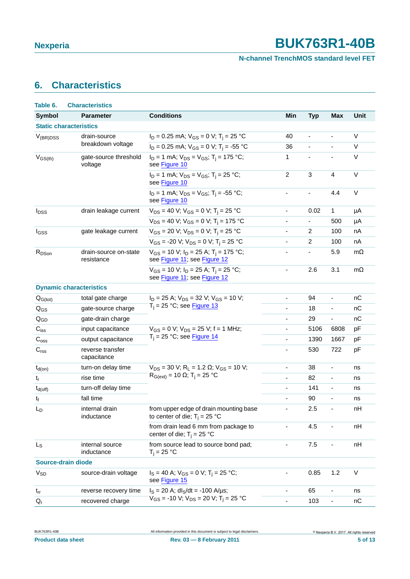### **N-channel TrenchMOS standard level FET**

## <span id="page-4-0"></span>**6. Characteristics**

| Table 6.                  | <b>Characteristics</b>              |                                                                                         |                              |                                 |                              |             |
|---------------------------|-------------------------------------|-----------------------------------------------------------------------------------------|------------------------------|---------------------------------|------------------------------|-------------|
| <b>Symbol</b>             | <b>Parameter</b>                    | <b>Conditions</b>                                                                       | Min                          | <b>Typ</b>                      | <b>Max</b>                   | <b>Unit</b> |
|                           | <b>Static characteristics</b>       |                                                                                         |                              |                                 |                              |             |
| $V_{(BR)DSS}$             | drain-source                        | $I_D = 0.25$ mA; $V_{GS} = 0$ V; T <sub>i</sub> = 25 °C                                 | 40                           | $\overline{\phantom{a}}$        | $\qquad \qquad \blacksquare$ | V           |
|                           | breakdown voltage                   | $I_D = 0.25$ mA; $V_{GS} = 0$ V; T <sub>i</sub> = -55 °C                                | 36                           | $\overline{\phantom{a}}$        | $\overline{\phantom{a}}$     | V           |
| $V_{GS(th)}$              | gate-source threshold<br>voltage    | $I_D = 1$ mA; $V_{DS} = V_{GS}$ ; T <sub>i</sub> = 175 °C;<br>see Figure 10             | 1                            |                                 | $\overline{\phantom{a}}$     | V           |
|                           |                                     | $I_D = 1$ mA; $V_{DS} = V_{GS}$ ; T <sub>i</sub> = 25 °C;<br>see Figure 10              | $\overline{c}$               | $\sqrt{3}$                      | $\overline{4}$               | $\vee$      |
|                           |                                     | $I_D = 1$ mA; $V_{DS} = V_{GS}$ ; T <sub>i</sub> = -55 °C;<br>see Figure 10             | $\blacksquare$               | $\blacksquare$                  | 4.4                          | V           |
| <b>I</b> <sub>DSS</sub>   | drain leakage current               | $V_{DS}$ = 40 V; $V_{GS}$ = 0 V; T <sub>i</sub> = 25 °C                                 | $\overline{\phantom{0}}$     | 0.02                            | 1                            | μA          |
|                           |                                     | $V_{DS}$ = 40 V; $V_{GS}$ = 0 V; T <sub>i</sub> = 175 °C                                | $\overline{\phantom{0}}$     | $\overline{\phantom{a}}$        | 500                          | μA          |
| I <sub>GSS</sub>          | gate leakage current                | $V_{GS}$ = 20 V; $V_{DS}$ = 0 V; T <sub>i</sub> = 25 °C                                 | $\overline{\phantom{0}}$     | $\overline{c}$                  | 100                          | nA          |
|                           |                                     | $V_{GS}$ = -20 V; $V_{DS}$ = 0 V; T <sub>i</sub> = 25 °C                                | $\overline{\phantom{a}}$     | $\overline{c}$                  | 100                          | nA          |
| R <sub>DSon</sub>         | drain-source on-state<br>resistance | $V_{GS}$ = 10 V; $I_D$ = 25 A; T <sub>i</sub> = 175 °C;<br>see Figure 11; see Figure 12 | ÷                            | 5.9<br>$\overline{\phantom{a}}$ |                              | $m\Omega$   |
|                           |                                     | $V_{GS}$ = 10 V; $I_D$ = 25 A; T <sub>i</sub> = 25 °C;<br>see Figure 11; see Figure 12  | $\qquad \qquad \blacksquare$ | 2.6                             | 3.1                          | $m\Omega$   |
|                           | <b>Dynamic characteristics</b>      |                                                                                         |                              |                                 |                              |             |
| $Q_{G(tot)}$              | total gate charge                   | $I_D = 25$ A; $V_{DS} = 32$ V; $V_{GS} = 10$ V;                                         | $\overline{\phantom{0}}$     | 94                              | $\qquad \qquad \blacksquare$ | nC          |
| $Q_{GS}$                  | gate-source charge                  | $T_i = 25$ °C; see Figure 13                                                            | $\overline{\phantom{0}}$     | 18                              | $\overline{\phantom{a}}$     | nC          |
| $Q_{GD}$                  | gate-drain charge                   |                                                                                         | ÷,                           | 29                              | $\blacksquare$               | nC          |
| $\mathbf{C}_{\text{iss}}$ | input capacitance                   | $V_{GS} = 0$ V; $V_{DS} = 25$ V; f = 1 MHz;                                             | $\overline{\phantom{0}}$     | 5106                            | 6808                         | pF          |
| $C_{\rm oss}$             | output capacitance                  | $T_i = 25$ °C; see Figure 14                                                            | $\blacksquare$               | 1390                            | 1667                         | pF          |
| C <sub>rss</sub>          | reverse transfer<br>capacitance     |                                                                                         | $\overline{\phantom{0}}$     | 530                             | 722                          | pF          |
| $t_{d(on)}$               | turn-on delay time                  | $V_{DS}$ = 30 V; R <sub>L</sub> = 1.2 $\Omega$ ; V <sub>GS</sub> = 10 V;                | $\blacksquare$               | 38                              | $\overline{\phantom{a}}$     | ns          |
| $t_r$                     | rise time                           | $R_{G(ext)} = 10$ Ω; T <sub>i</sub> = 25 °C                                             | $\overline{\phantom{a}}$     | 82                              | $\blacksquare$               | ns          |
| $t_{d(off)}$              | turn-off delay time                 |                                                                                         | $\qquad \qquad \blacksquare$ | 141                             | $\blacksquare$               | ns          |
| $t_f$                     | fall time                           |                                                                                         | $\overline{\phantom{a}}$     | 90                              | $\overline{\phantom{a}}$     | ns          |
| $\mathsf{L}_\mathsf{D}$   | internal drain<br>inductance        | from upper edge of drain mounting base<br>to center of die; $T_i = 25$ °C               |                              | 2.5                             | $\overline{\phantom{a}}$     | nH          |
|                           |                                     | from drain lead 6 mm from package to<br>center of die; $T_i = 25 °C$                    |                              | 4.5                             |                              | nH          |
| $L_S$                     | internal source<br>inductance       | from source lead to source bond pad;<br>$T_j = 25 °C$                                   | $\overline{\phantom{0}}$     | 7.5                             | $\overline{\phantom{0}}$     | nH          |
| <b>Source-drain diode</b> |                                     |                                                                                         |                              |                                 |                              |             |
| <b>V<sub>SD</sub></b>     | source-drain voltage                | $I_S = 40$ A; $V_{GS} = 0$ V; T <sub>i</sub> = 25 °C;<br>see Figure 15                  | $\qquad \qquad \blacksquare$ | 0.85                            | 1.2                          | V           |
| $t_{rr}$                  | reverse recovery time               | $I_S = 20$ A; dl <sub>S</sub> /dt = -100 A/µs;                                          |                              | 65                              |                              | ns          |
| $Q_{r}$                   | recovered charge                    | $V_{GS}$ = -10 V; $V_{DS}$ = 20 V; T <sub>i</sub> = 25 °C                               | $\overline{\phantom{0}}$     | 103                             | $\overline{\phantom{a}}$     | пC          |

**Product data sheet** 5 of 13<br> **Rev. 03 — 8 February 2011 13 Contract 5 of 13**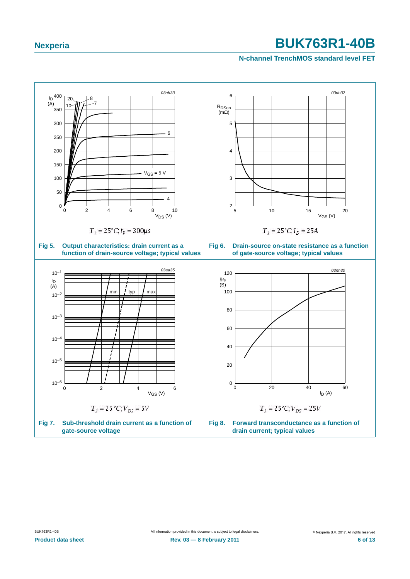#### **N-channel TrenchMOS standard level FET**

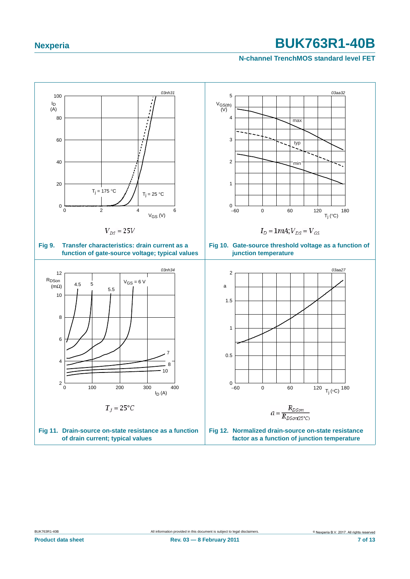#### <span id="page-6-2"></span><span id="page-6-1"></span>**N-channel TrenchMOS standard level FET**

<span id="page-6-0"></span>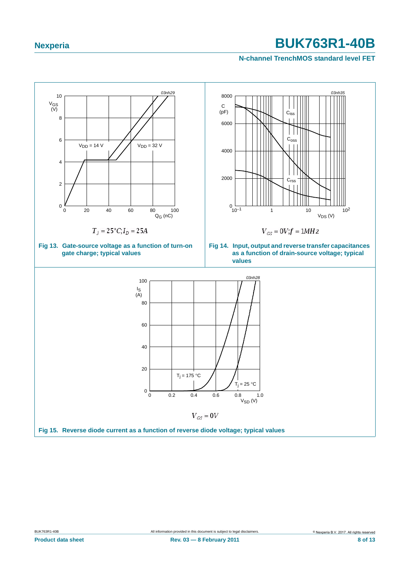#### <span id="page-7-1"></span>**N-channel TrenchMOS standard level FET**

<span id="page-7-2"></span><span id="page-7-0"></span>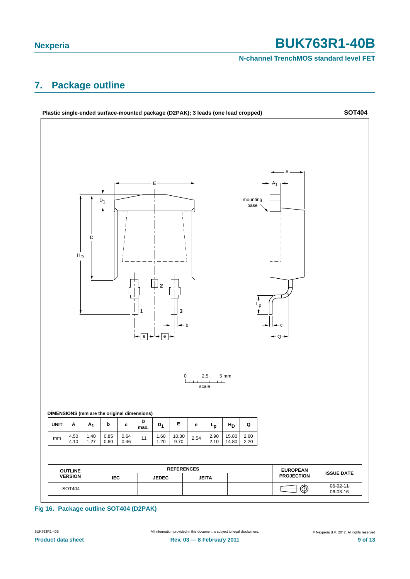**N-channel TrenchMOS standard level FET**

## <span id="page-8-0"></span>**7. Package outline**



#### **Fig 16. Package outline SOT404 (D2PAK)**

BUK763R1-40B **All information provided in this document** is subject to legal disclaimers. **Experia B.V. 2017. All rights reserved Product data sheet** 9 of 13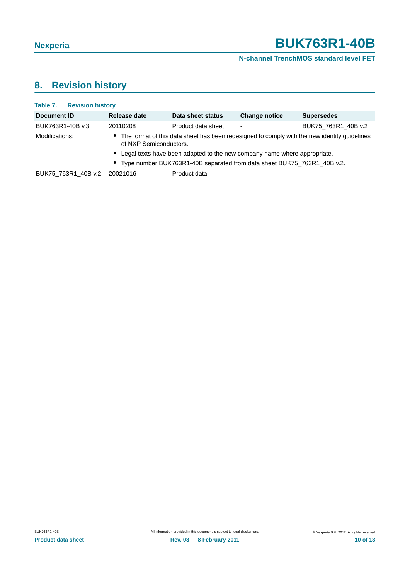### **N-channel TrenchMOS standard level FET**

## <span id="page-9-0"></span>**8. Revision history**

| Table 7. Revision history |                        |                                                                            |                      |                                                                                                |
|---------------------------|------------------------|----------------------------------------------------------------------------|----------------------|------------------------------------------------------------------------------------------------|
| Document ID               | Release date           | Data sheet status                                                          | <b>Change notice</b> | <b>Supersedes</b>                                                                              |
| BUK763R1-40B v.3          | 20110208               | Product data sheet                                                         | -                    | BUK75 763R1 40B v.2                                                                            |
| Modifications:            | of NXP Semiconductors. |                                                                            |                      | • The format of this data sheet has been redesigned to comply with the new identity guidelines |
|                           |                        | • Legal texts have been adapted to the new company name where appropriate. |                      |                                                                                                |
|                           |                        | • Type number BUK763R1-40B separated from data sheet BUK75 763R1 40B v.2.  |                      |                                                                                                |
| BUK75 763R1 40B v.2       | 20021016               | Product data                                                               |                      |                                                                                                |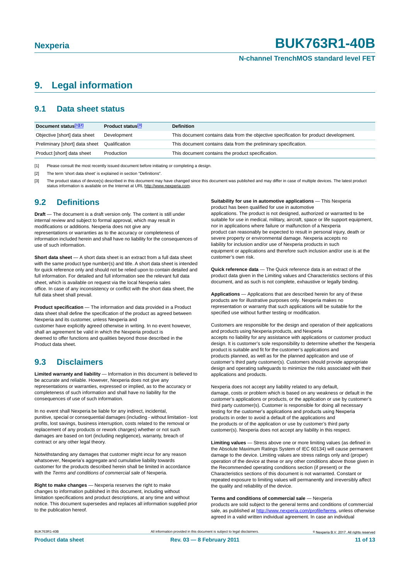#### **N-channel TrenchMOS standard level FET**

### <span id="page-10-3"></span>**9. Legal information**

#### <span id="page-10-4"></span>**9.1 Data sheet status**

| Document status[1][2]          | <b>Product status</b> <sup>[3]</sup> | <b>Definition</b>                                                                     |
|--------------------------------|--------------------------------------|---------------------------------------------------------------------------------------|
| Objective [short] data sheet   | Development                          | This document contains data from the objective specification for product development. |
| Preliminary [short] data sheet | Qualification                        | This document contains data from the preliminary specification.                       |
| Product [short] data sheet     | Production                           | This document contains the product specification.                                     |

<span id="page-10-0"></span>[1] Please consult the most recently issued document before initiating or completing a design.

<span id="page-10-1"></span>[2] The term 'short data sheet' is explained in section "Definitions"

<span id="page-10-2"></span>[3] The product status of device(s) described in this document may have changed since this document was published and may differ in case of multiple devices. The latest product<br>status information is available on the Intern

#### <span id="page-10-5"></span>**9.2 Definitions**

**Draft** — The document is a draft version only. The content is still under internal review and subject to formal approval, which may result in modifications or additions. Nexperia does not give any representations or warranties as to the accuracy or completeness of information included herein and shall have no liability for the consequences of use of such information.

**Short data sheet** — A short data sheet is an extract from a full data sheet with the same product type number(s) and title. A short data sheet is intended for quick reference only and should not be relied upon to contain detailed and full information. For detailed and full information see the relevant full data sheet, which is available on request via the local Nexperia sales office. In case of any inconsistency or conflict with the short data sheet, the full data sheet shall prevail.

**Product specification** — The information and data provided in a Product data sheet shall define the specification of the product as agreed between Nexperia and its customer, unless Nexperia and

customer have explicitly agreed otherwise in writing. In no event however, shall an agreement be valid in which the Nexperia product is deemed to offer functions and qualities beyond those described in the Product data sheet.

#### <span id="page-10-6"></span>**9.3 Disclaimers**

**Limited warranty and liability** — Information in this document is believed to be accurate and reliable. However, Nexperia does not give any representations or warranties, expressed or implied, as to the accuracy or completeness of such information and shall have no liability for the consequences of use of such information.

In no event shall Nexperia be liable for any indirect, incidental, punitive, special or consequential damages (including - without limitation - lost profits, lost savings, business interruption, costs related to the removal or replacement of any products or rework charges) whether or not such damages are based on tort (including negligence), warranty, breach of contract or any other legal theory.

Notwithstanding any damages that customer might incur for any reason whatsoever, Nexperia's aggregate and cumulative liability towards customer for the products described herein shall be limited in accordance with the *Terms and conditions of commercial sale* of Nexperia.

**Right to make changes** — Nexperia reserves the right to make changes to information published in this document, including without limitation specifications and product descriptions, at any time and without notice. This document supersedes and replaces all information supplied prior to the publication hereof.

**Suitability for use in automotive applications** — This Nexperia product has been qualified for use in automotive

applications. The product is not designed, authorized or warranted to be suitable for use in medical, military, aircraft, space or life support equipment, nor in applications where failure or malfunction of a Nexperia product can reasonably be expected to result in personal injury, death or severe property or environmental damage. Nexperia accepts no liability for inclusion and/or use of Nexperia products in such equipment or applications and therefore such inclusion and/or use is at the customer's own risk.

**Quick reference data** — The Quick reference data is an extract of the product data given in the Limiting values and Characteristics sections of this document, and as such is not complete, exhaustive or legally binding.

**Applications** — Applications that are described herein for any of these products are for illustrative purposes only. Nexperia makes no representation or warranty that such applications will be suitable for the specified use without further testing or modification.

Customers are responsible for the design and operation of their applications and products using Nexperia products, and Nexperia accepts no liability for any assistance with applications or customer product design. It is customer's sole responsibility to determine whether the Nexperia product is suitable and fit for the customer's applications and products planned, as well as for the planned application and use of customer's third party customer(s). Customers should provide appropriate design and operating safeguards to minimize the risks associated with their applications and products.

Nexperia does not accept any liability related to any default, damage, costs or problem which is based on any weakness or default in the customer's applications or products, or the application or use by customer's third party customer(s). Customer is responsible for doing all necessary testing for the customer's applications and products using Nexperia products in order to avoid a default of the applications and the products or of the application or use by customer's third party customer(s). Nexperia does not accept any liability in this respect.

**Limiting values** — Stress above one or more limiting values (as defined in the Absolute Maximum Ratings System of IEC 60134) will cause permanent damage to the device. Limiting values are stress ratings only and (proper) operation of the device at these or any other conditions above those given in the Recommended operating conditions section (if present) or the Characteristics sections of this document is not warranted. Constant or repeated exposure to limiting values will permanently and irreversibly affect the quality and reliability of the device.

#### **Terms and conditions of commercial sale** — Nexperia

products are sold subject to the general terms and conditions of commercial sale, as published at http://www.nexperia.com/profile/terms, unless otherwise agreed in a valid written individual agreement. In case an individual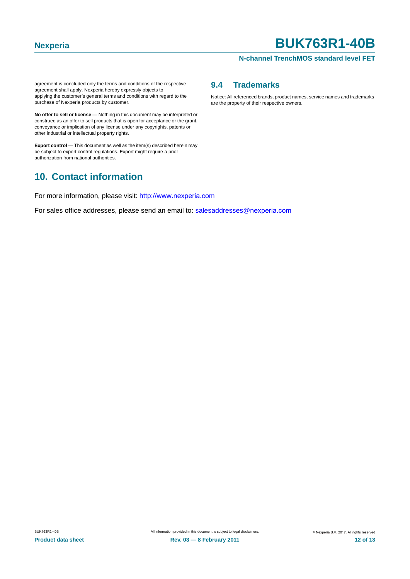#### **N-channel TrenchMOS standard level FET**

agreement is concluded only the terms and conditions of the respective agreement shall apply. Nexperia hereby expressly objects to applying the customer's general terms and conditions with regard to the purchase of Nexperia products by customer.

**No offer to sell or license** — Nothing in this document may be interpreted or construed as an offer to sell products that is open for acceptance or the grant, conveyance or implication of any license under any copyrights, patents or other industrial or intellectual property rights.

**Export control** — This document as well as the item(s) described herein may be subject to export control regulations. Export might require a prior authorization from national authorities.

### <span id="page-11-1"></span>**10. Contact information**

For more information, please visit: http://www.nexperia.com

For sales office addresses, please send an email to: salesaddresses@nexperia.com

#### <span id="page-11-0"></span>**9.4 Trademarks**

Notice: All referenced brands, product names, service names and trademarks are the property of their respective owners.